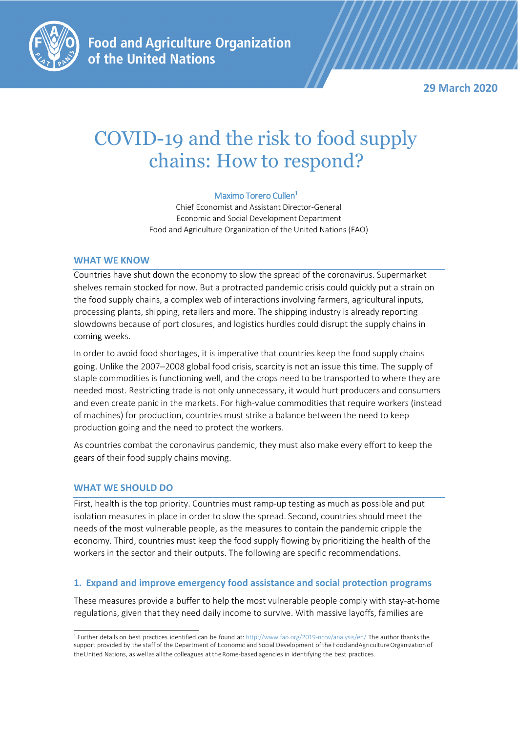

**Food and Agriculture Organization** of the United Nations

**29 March 2020**

# COVID-19 and the risk to food supply chains: How to respond?

#### Maximo Torero Cullen<sup>1</sup>

Chief Economist and Assistant Director-General Economic and Social Development Department Food and Agriculture Organization of the United Nations (FAO)

#### **WHAT WE KNOW**

Countries have shut down the economy to slow the spread of the coronavirus. Supermarket shelves remain stocked for now. But a protracted pandemic crisis could quickly put a strain on the food supply chains, a complex web of interactions involving farmers, agricultural inputs, processing plants, shipping, retailers and more. The shipping industry is already reporting slowdowns because of port closures, and logistics hurdles could disrupt the supply chains in coming weeks.

In order to avoid food shortages, it is imperative that countries keep the food supply chains going. Unlike the 2007-2008 global food crisis, scarcity is not an issue this time. The supply of staple commodities is functioning well, and the crops need to be transported to where they are needed most. Restricting trade is not only unnecessary, it would hurt producers and consumers and even create panic in the markets. For high-value commodities that require workers (instead of machines) for production, countries must strike a balance between the need to keep production going and the need to protect the workers.

As countries combat the coronavirus pandemic, they must also make every effort to keep the gears of their food supply chains moving.

#### **WHAT WE SHOULD DO**

First, health is the top priority. Countries must ramp-up testing as much as possible and put isolation measures in place in order to slow the spread. Second, countries should meet the needs of the most vulnerable people, as the measures to contain the pandemic cripple the economy. Third, countries must keep the food supply flowing by prioritizing the health of the workers in the sector and their outputs. The following are specific recommendations.

#### **1. Expand and improve emergency food assistance and social protection programs**

These measures provide a buffer to help the most vulnerable people comply with stay-at-home regulations, given that they need daily income to survive. With massive layoffs, families are

<sup>&</sup>lt;sup>1</sup> Further details on best practices identified can be found at: <http://www.fao.org/2019-ncov/analysis/en/> The author thanks the support provided by the staff of the Department of Economic and Social Development of the FoodandAgricultureOrganization of theUnited Nations, aswellas allthe colleagues attheRome-based agencies in identifying the best practices.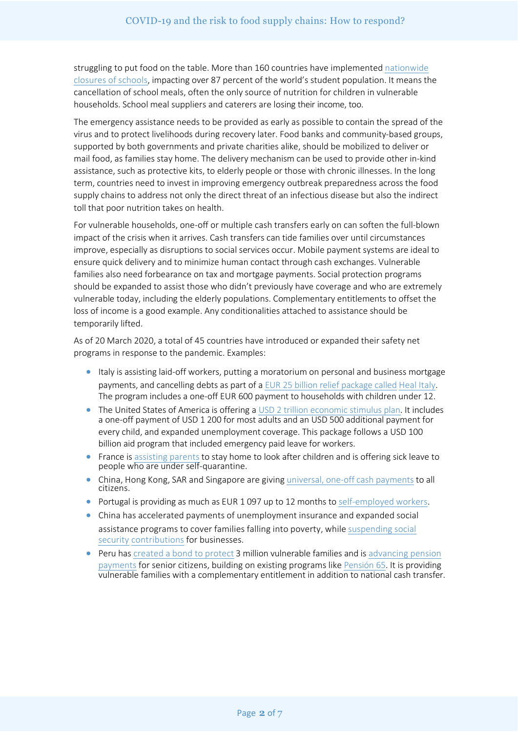struggling to put food on the table. More than 160 countries have implemented nationwide closures of [schools, impacting](https://en.unesco.org/themes/education-emergencies/coronavirus-school-closures) over 87 percent of the world's student population. It means the cancellation of school meals, often the only source of nutrition for children in vulnerable households. School meal suppliers and caterers are losing their income, too.

The emergency assistance needs to be provided as early as possible to contain the spread of the virus and to protect livelihoods during recovery later. Food banks and community-based groups, supported by both governments and private charities alike, should be mobilized to deliver or mail food, as families stay home. The delivery mechanism can be used to provide other in-kind assistance, such as protective kits, to elderly people or those with chronic illnesses. In the long term, countries need to invest in improving emergency outbreak preparedness across the food supply chains to address not only the direct threat of an infectious disease but also the indirect toll that poor nutrition takes on health.

For vulnerable households, one-off or multiple cash transfers early on can soften the full-blown impact of the crisis when it arrives. Cash transfers can tide families over until circumstances improve, especially as disruptions to social services occur. Mobile payment systems are ideal to ensure quick delivery and to minimize human contact through cash exchanges. Vulnerable families also need forbearance on tax and mortgage payments. Social protection programs should be expanded to assist those who didn't previously have coverage and who are extremely vulnerable today, including the elderly populations. Complementary entitlements to offset the loss of income is a good example. Any conditionalities attached to assistance should be temporarily lifted.

As of 20 March 2020, a total of 45 countries have introduced or expanded their safety net programs in response to the pandemic. Examples:

- Italy is assisting laid-off workers, putting a moratorium on personal and business mortgage payments, and cancelling debts as part of a EUR [25 billion relief](https://www.bloomberg.com/news/articles/2020-03-10/conte-calls-on-ecb-to-do-whatever-it-takes-against-coronavirus) package called Heal Italy. The program includes a one-off EUR 600 payment to households with children under 12.
- The United States of America is offering a USD 2 trillion economic [stimulus plan](https://www.nytimes.com/2020/03/26/world/coronavirus-news.html?action=click&module=Spotlight&pgtype=Homepage#link-444ff0b2). It includes a one-off payment of USD 1 200 for most adults and an USD 500 additional payment for every child, and expanded unemployment coverage. This package follows a USD 100 billion aid program that included emergency paid leave for workers.
- France is [assisting](https://www.service-public.fr/particuliers/actualites/A13890) parents to stay home to look after children and is offering sick leave to people who are under self-quarantine.
- China, Hong Kong, SAR and Singapore are giving universal, one-off cash [payments](http://www.ugogentilini.net/wp-content/uploads/2020/03/global-review-of-social-protection-responses-to-COVID-19-2.pdf) to all citizens.
- Portugal is providing as much as EUR 1 097 up to 12 months to [self-employed](http://www.ugogentilini.net/wp-content/uploads/2020/03/global-review-of-social-protection-responses-to-COVID-19-2.pdf) workers.
- China has accelerated payments of unemployment insurance and expanded social assistance programs to cover families falling into poverty, while suspending social security [contributions](https://home.kpmg/cn/en/home/insights/2020/02/china-tax-alert-15.html) for businesses.
- Peru has [created](https://rpp.pe/peru/actualidad/coronavirus-en-peru-covid-19-consulta-aqui-si-tu-hogar-es-beneficiario-del-bono-de-s-380-noticia-1253318) a bond to protect [3 million vulnerable](https://rpp.pe/economia/economia/onp-este-mes-se-adelantara-el-pago-de-pensiones-noticia-1248988) families and is advancing pension payments for senior citizens, building on existing programs like [Pensión](https://www.pension65.gob.pe/) 65. It is providing vulnerable families with a complementary entitlement in addition to national cash transfer.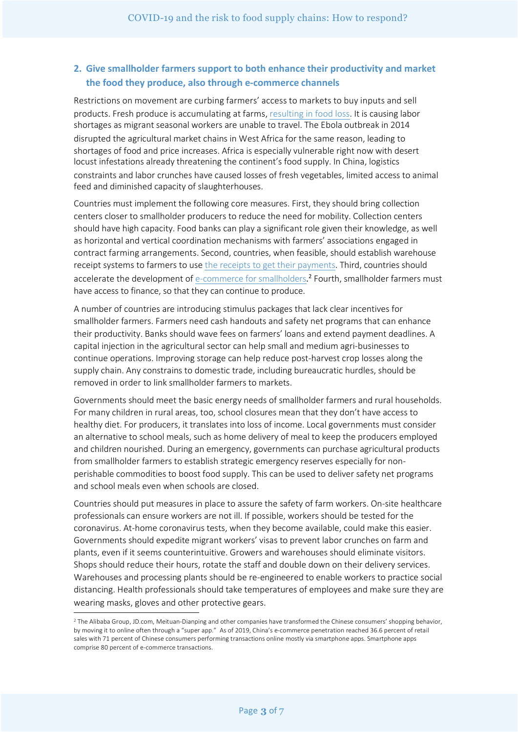## **2. Give smallholder farmers support to both enhance their productivity and market the food they produce, also through e-commerce channels**

Restrictions on movement are curbing farmers' access to markets to buy inputs and sell products. Fresh produce is accumulating at farms, [resulting](http://www.fao.org/3/ca6030en/ca6030en.pdf) in food loss. It is causing labor shortages as migrant seasonal workers are unable to travel. The Ebola outbreak in 2014 disrupted the agricultural market chains in West Africa for the same reason, leading to shortages of food and price increases. Africa is especially vulnerable right now with desert locust infestations already threatening the continent's food supply. In China, logistics constraints and labor crunches have caused losses of fresh vegetables, limited access to animal feed and diminished capacity of slaughterhouses.

Countries must implement the following core measures. First, they should bring collection centers closer to smallholder producers to reduce the need for mobility. Collection centers should have high capacity. Food banks can play a significant role given their knowledge, as well as horizontal and vertical coordination mechanisms with farmers' associations engaged in contract farming arrangements. Second, countries, when feasible, should establish warehouse receipt systems to farmers to use the receipts to [get their payments.](http://www.fao.org/3/a-i3339e.pdf) Third, countries should accelerate the development of [e-commerce](https://ageconsearch.umn.edu/record/264235/files/ifamr2016.0156.pdf) for smallholders.<sup>2</sup> Fourth, smallholder farmers must have access to finance, so that they can continue to produce.

A number of countries are introducing stimulus packages that lack clear incentives for smallholder farmers. Farmers need cash handouts and safety net programs that can enhance their productivity. Banks should wave fees on farmers' loans and extend payment deadlines. A capital injection in the agricultural sector can help small and medium agri-businesses to continue operations. Improving storage can help reduce post-harvest crop losses along the supply chain. Any constrains to domestic trade, including bureaucratic hurdles, should be removed in order to link smallholder farmers to markets.

Governments should meet the basic energy needs of smallholder farmers and rural households. For many children in rural areas, too, school closures mean that they don't have access to healthy diet. For producers, it translates into loss of income. Local governments must consider an alternative to school meals, such as home delivery of meal to keep the producers employed and children nourished. During an emergency, governments can purchase agricultural products from smallholder farmers to establish strategic emergency reserves especially for nonperishable commodities to boost food supply. This can be used to deliver safety net programs and school meals even when schools are closed.

Countries should put measures in place to assure the safety of farm workers. On-site healthcare professionals can ensure workers are not ill. If possible, workers should be tested for the coronavirus. At-home coronavirus tests, when they become available, could make this easier. Governments should expedite migrant workers' visas to prevent labor crunches on farm and plants, even if it seems counterintuitive. Growers and warehouses should eliminate visitors. Shops should reduce their hours, rotate the staff and double down on their delivery services. Warehouses and processing plants should be re-engineered to enable workers to practice social distancing. Health professionals should take temperatures of employees and make sure they are wearing masks, gloves and other protective gears.

<sup>&</sup>lt;sup>2</sup> The Alibaba Group, JD.com, Meituan-Dianping and other companies have transformed the Chinese consumers' shopping behavior, by moving it to online often through a "super app." As of 2019, China's e-commerce penetration reached 36.6 percent of retail sales with 71 percent of Chinese consumers performing transactions online mostly via smartphone apps. Smartphone apps comprise 80 percent of e-commerce transactions.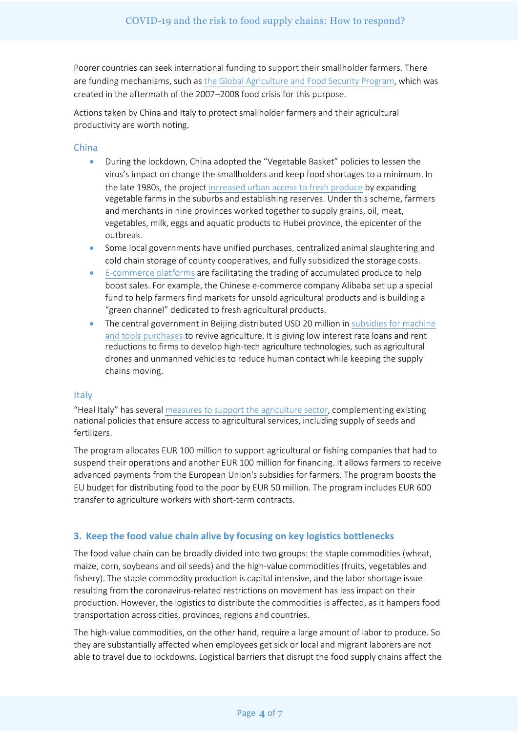Poorer countries can seek international funding to support their smallholder farmers. There are funding mechanisms, such as the Global [Agriculture and](https://www.gafspfund.org/) Food Security Program, which was created in the aftermath of the 2007-2008 food crisis for this purpose.

Actions taken by China and Italy to protect smallholder farmers and their agricultural productivity are worth noting.

#### China

- During the lockdown, China adopted the "Vegetable Basket" policies to lessen the virus's impact on change the smallholders and keep food shortages to a minimum. In the late 1980s, the project [increased urban access](https://www.chinadaily.com.cn/bizchina/2010-08/18/content_11173854.htm) to fresh produce by expanding vegetable farms in the suburbs and establishing reserves. Under this scheme, farmers and merchants in nine provinces worked together to supply grains, oil, meat, vegetables, milk, eggs and aquatic products to Hubei province, the epicenter of the outbreak.
- Some local governments have unified purchases, centralized animal slaughtering and cold chain storage of county cooperatives, and fully subsidized the storage costs.
- [E-commerce](http://en.people.cn/n3/2020/0310/c90000-9666727.html) platforms are facilitating the trading of accumulated produce to help boost sales. For example, the Chinese e-commerce company Alibaba set up a special fund to help farmers find markets for unsold agricultural products and is building a "green channel" dedicated to fresh agricultural products.
- The central government in Beijing distributed USD 20 million in subsidies for machine and tools purchases to [revive agriculture.](https://www.cnbc.com/2020/03/10/chinese-agriculture-drone-makers-see-demand-rise-amid-coronavirus-outbreak.html) It is giving low interest rate loans and rent reductions to firms to develop high-tech agriculture technologies, such as agricultural drones and unmanned vehicles to reduce human contact while keeping the supply chains moving.

#### Italy

"Heal Italy" has several [measures to support the agriculture sector,](https://worldcrunch.com/coronavirus-1/covid-19-and-closed-borders-italy39s-agriculture-at-risk) complementing existing national policies that ensure access to agricultural services, including supply of seeds and fertilizers.

The program allocates EUR 100 million to support agricultural or fishing companies that had to suspend their operations and another EUR 100 million for financing. It allows farmers to receive advanced payments from the European Union's subsidies for farmers. The program boosts the EU budget for distributing food to the poor by EUR 50 million. The program includes EUR 600 transfer to agriculture workers with short-term contracts.

## **3. Keep the food value chain alive by focusing on key logistics bottlenecks**

The food value chain can be broadly divided into two groups: the staple commodities (wheat, maize, corn, soybeans and oil seeds) and the high-value commodities (fruits, vegetables and fishery). The staple commodity production is capital intensive, and the labor shortage issue resulting from the coronavirus-related restrictions on movement has less impact on their production. However, the logistics to distribute the commodities is affected, as it hampers food transportation across cities, provinces, regions and countries.

The high-value commodities, on the other hand, require a large amount of labor to produce. So they are substantially affected when employees get sick or local and migrant laborers are not able to travel due to lockdowns. Logistical barriers that disrupt the food supply chains affect the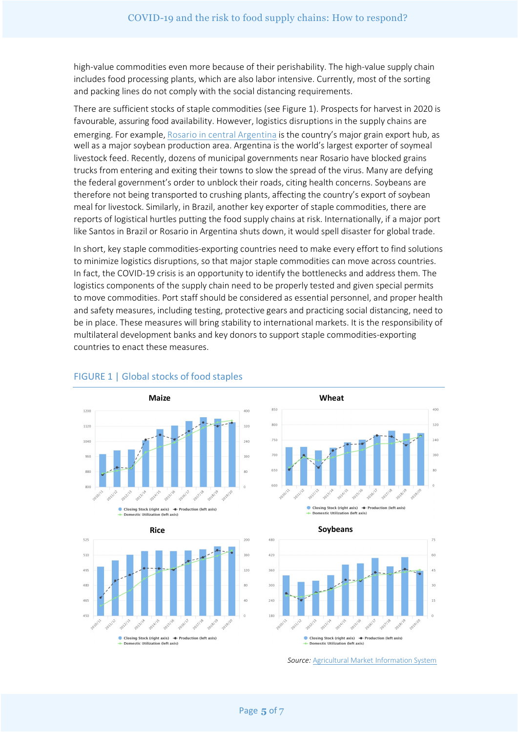high-value commodities even more because of their perishability. The high-value supply chain includes food processing plants, which are also labor intensive. Currently, most of the sorting and packing lines do not comply with the social distancing requirements.

There are sufficient stocks of staple commodities (see Figure 1). Prospects for harvest in 2020 is favourable, assuring food availability. However, logistics disruptions in the supply chains are emerging. For example, Rosario in central [Argentina](https://www.reuters.com/article/argentina-grains/update-1-supply-of-soy-to-argentine-livestock-feed-factories-down-by-half-and-falling-idUSL1N2BK165) is the country's major grain export hub, as well as a major soybean production area. Argentina is the world's largest exporter of soymeal livestock feed. Recently, dozens of municipal governments near Rosario have blocked grains trucks from entering and exiting their towns to slow the spread of the virus. Many are defying the federal government's order to unblock their roads, citing health concerns. Soybeans are therefore not being transported to crushing plants, affecting the country's export of soybean meal for livestock. Similarly, in Brazil, another key exporter of staple commodities, there are reports of logistical hurtles putting the food supply chains at risk. Internationally, if a major port like Santos in Brazil or Rosario in Argentina shuts down, it would spell disaster for global trade.

In short, key staple commodities-exporting countries need to make every effort to find solutions to minimize logistics disruptions, so that major staple commodities can move across countries. In fact, the COVID-19 crisis is an opportunity to identify the bottlenecks and address them. The logistics components of the supply chain need to be properly tested and given special permits to move commodities. Port staff should be considered as essential personnel, and proper health and safety measures, including testing, protective gears and practicing social distancing, need to be in place. These measures will bring stability to international markets. It is the responsibility of multilateral development banks and key donors to support staple commodities-exporting countries to enact these measures.



## FIGURE 1 | Global stocks of food staples









*Source:* [Agricultural Market](https://app.amis-outlook.org/#/market-database/supply-and-demand-overview) Information System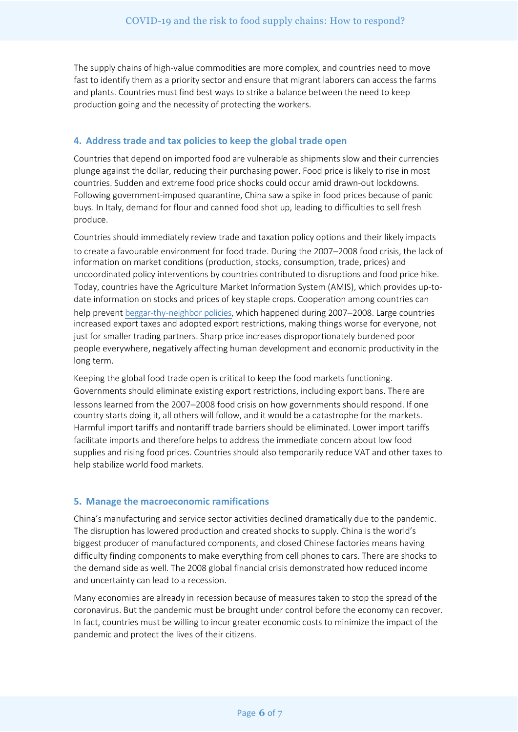The supply chains of high-value commodities are more complex, and countries need to move fast to identify them as a priority sector and ensure that migrant laborers can access the farms and plants. Countries must find best ways to strike a balance between the need to keep production going and the necessity of protecting the workers.

## **4. Address trade and tax policies to keep the global trade open**

Countries that depend on imported food are vulnerable as shipments slow and their currencies plunge against the dollar, reducing their purchasing power. Food price is likely to rise in most countries. Sudden and extreme food price shocks could occur amid drawn-out lockdowns. Following government-imposed quarantine, China saw a spike in food prices because of panic buys. In Italy, demand for flour and canned food shot up, leading to difficulties to sell fresh produce.

Countries should immediately review trade and taxation policy options and their likely impacts to create a favourable environment for food trade. During the 2007-2008 food crisis, the lack of information on market conditions (production, stocks, consumption, trade, prices) and uncoordinated policy interventions by countries contributed to disruptions and food price hike. Today, countries have the Agriculture Market Information System (AMIS), which provides up-todate information on stocks and prices of key staple crops. Cooperation among countries can help prevent [beggar-thy-neighbor](http://ebrary.ifpri.org/cdm/ref/collection/p15738coll2/id/131393) policies, which happened during 2007-2008. Large countries increased export taxes and adopted export restrictions, making things worse for everyone, not just for smaller trading partners. Sharp price increases disproportionately burdened poor people everywhere, negatively affecting human development and economic productivity in the long term.

Keeping the global food trade open is critical to keep the food markets functioning. Governments should eliminate existing export restrictions, including export bans. There are lessons learned from the 2007-2008 food crisis on how governments should respond. If one country starts doing it, all others will follow, and it would be a catastrophe for the markets. Harmful import tariffs and nontariff trade barriers should be eliminated. Lower import tariffs facilitate imports and therefore helps to address the immediate concern about low food supplies and rising food prices. Countries should also temporarily reduce VAT and other taxes to help stabilize world food markets.

## **5. Manage the macroeconomic ramifications**

China's manufacturing and service sector activities declined dramatically due to the pandemic. The disruption has lowered production and created shocks to supply. China is the world's biggest producer of manufactured components, and closed Chinese factories means having difficulty finding components to make everything from cell phones to cars. There are shocks to the demand side as well. The 2008 global financial crisis demonstrated how reduced income and uncertainty can lead to a recession.

Many economies are already in recession because of measures taken to stop the spread of the coronavirus. But the pandemic must be brought under control before the economy can recover. In fact, countries must be willing to incur greater economic costs to minimize the impact of the pandemic and protect the lives of their citizens.